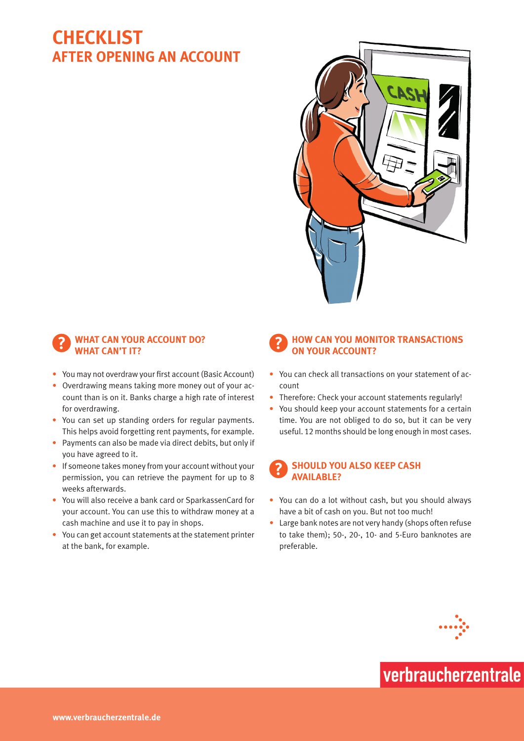### **Checklist After opening an account**



#### **WHAT CAN YOUR ACCOUNT DO?** WHAT CAN'T **IT?**

- You may not overdraw your first account (Basic Account)
- Overdrawing means taking more money out of your account than is on it. Banks charge a high rate of interest for overdrawing.
- You can set up standing orders for regular payments. This helps avoid forgetting rent payments, for example.
- Payments can also be made via direct debits, but only if you have agreed to it.
- If someone takes money from your account without your permission, you can retrieve the payment for up to 8 weeks afterwards.
- • You will also receive a bank card or SparkassenCard for your account. You can use this to withdraw money at a cash machine and use it to pay in shops.
- • You can get account statements at the statement printer at the bank, for example.

### ?**How can you monitor transactions on your account?**

- You can check all transactions on your statement of account
- Therefore: Check your account statements regularly!
- You should keep your account statements for a certain time. You are not obliged to do so, but it can be very useful. 12 months should be long enough in most cases.



- You can do a lot without cash, but you should always have a bit of cash on you. But not too much!
- Large bank notes are not very handy (shops often refuse to take them); 50-, 20-, 10- and 5-Euro banknotes are preferable.



# verbraucherzentrale